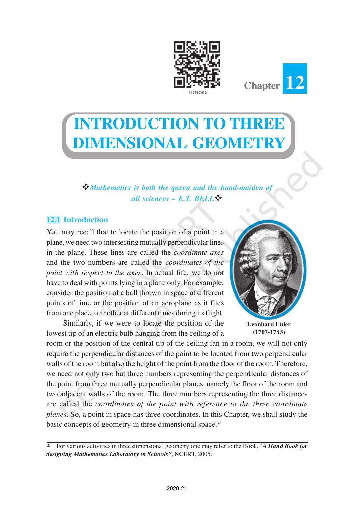



# **INTRODUCTION TO THREE DIMENSIONAL GEOMETRY**

v*Mathematics is both the queen and the hand-maiden of all sciences – E.T. BELL* 

# **12.1 Introduction**

You may recall that to locate the position of a point in a plane, we need two intersecting mutually perpendicular lines in the plane. These lines are called the *coordinate axes* and the two numbers are called the *coordinates of the point with respect to the axes*. In actual life, we do not have to deal with points lying in a plane only. For example, consider the position of a ball thrown in space at different points of time or the position of an aeroplane as it flies from one place to another at different times during its flight.

Similarly, if we were to locate the position of the lowest tip of an electric bulb hanging from the ceiling of a



**Leonhard Euler (1707-1783)**

room or the position of the central tip of the ceiling fan in a room, we will not only require the perpendicular distances of the point to be located from two perpendicular walls of the room but also the height of the point from the floor of the room. Therefore, we need not only two but three numbers representing the perpendicular distances of the point from three mutually perpendicular planes, namely the floor of the room and two adjacent walls of the room. The three numbers representing the three distances are called the *coordinates of the point with reference to the three coordinate planes*. So, a point in space has three coordinates. In this Chapter, we shall study the basic concepts of geometry in three dimensional space.\*

<sup>\*</sup> For various activities in three dimensional geometry one may refer to the Book, "*A Hand Book for designing Mathematics Laboratory in Schools"*, NCERT, 2005.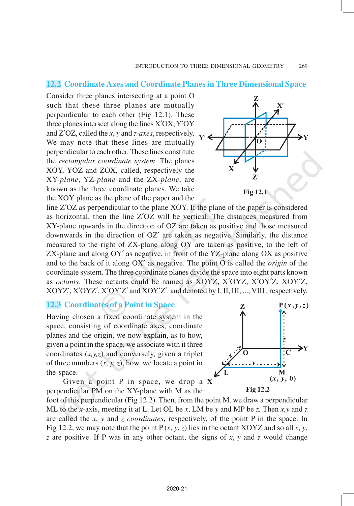## **12.2 Coordinate Axes and Coordinate Planes in Three Dimensional Space**

Consider three planes intersecting at a point O such that these three planes are mutually perpendicular to each other (Fig 12.1). These three planes intersect along the lines X′OX, Y′OY and Z′OZ, called the *x*, *y* and *z*-*axes*, respectively. We may note that these lines are mutually perpendicular to each other. These lines constitute the *rectangular coordinate system*. The planes XOY, YOZ and ZOX, called, respectively the XY-*plane*, YZ-*plane* and the ZX-*plane*, are known as the three coordinate planes. We take the XOY plane as the plane of the paper and the

Z **Fig 12.1**

line Z′OZ as perpendicular to the plane XOY. If the plane of the paper is considered as horizontal, then the line Z′OZ will be vertical. The distances measured from XY-plane upwards in the direction of OZ are taken as positive and those measured downwards in the direction of OZ′ are taken as negative. Similarly, the distance measured to the right of ZX-plane along OY are taken as positive, to the left of ZX-plane and along OY′ as negative, in front of the YZ-plane along OX as positive and to the back of it along OX′ as negative. The point O is called the *origin* of the coordinate system. The three coordinate planes divide the space into eight parts known as *octants*. These octants could be named as XOYZ, X′OYZ, X′OY′Z, XOY′Z, XOYZ′, X′OYZ′, X′OY′Z′ and XOY′Z′. and denoted by I, II, III, ..., VIII , respectively.

# **12.3 Coordinates of a Point in Space**

Having chosen a fixed coordinate system in the space, consisting of coordinate axes, coordinate planes and the origin, we now explain, as to how, given a point in the space, we associate with it three coordinates (*x,y,z*) and conversely, given a triplet of three numbers (*x, y, z*), how, we locate a point in the space.

Given a point  $P$  in space, we drop a  $X$ perpendicular PM on the XY-plane with M as the



foot of this perpendicular (Fig 12.2). Then, from the point M, we draw a perpendicular ML to the *x-*axis, meeting it at L. Let OL be *x*, LM be *y* and MP be *z.* Then *x,y* and *z* are called the *x*, *y* and *z coordinates*, respectively, of the point P in the space. In Fig 12.2, we may note that the point  $P(x, y, z)$  lies in the octant XOYZ and so all *x*, *y*, *z* are positive. If P was in any other octant, the signs of *x*, *y* and *z* would change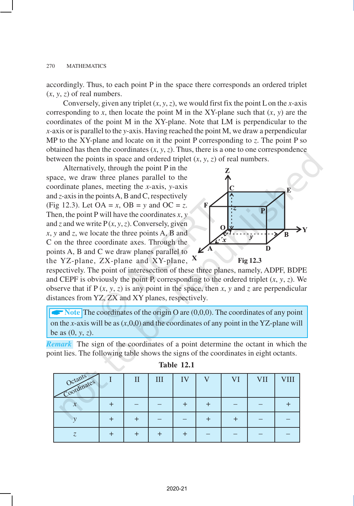accordingly. Thus, to each point P in the space there corresponds an ordered triplet  $(x, y, z)$  of real numbers.

Conversely, given any triplet  $(x, y, z)$ , we would first fix the point L on the *x*-axis corresponding to *x*, then locate the point M in the XY-plane such that  $(x, y)$  are the coordinates of the point M in the XY-plane. Note that LM is perpendicular to the *x-*axis or is parallel to the *y*-axis. Having reached the point M, we draw a perpendicular MP to the XY-plane and locate on it the point P corresponding to *z*. The point P so obtained has then the coordinates  $(x, y, z)$ . Thus, there is a one to one correspondence between the points in space and ordered triplet (*x*, *y*, *z*) of real numbers.

Alternatively, through the point P in the space, we draw three planes parallel to the coordinate planes, meeting the *x*-axis, *y*-axis and *z*-axis in the points A, B and C, respectively (Fig 12.3). Let  $OA = x$ ,  $OB = y$  and  $OC = z$ . Then, the point P will have the coordinates *x*, *y* and *z* and we write  $P(x, y, z)$ . Conversely, given *x*, *y* and *z*, we locate the three points A, B and C on the three coordinate axes. Through the points A, B and C we draw planes parallel to the YZ-plane, ZX-plane and XY-plane,



respectively. The point of interesection of these three planes, namely, ADPF, BDPE and CEPF is obviously the point P, corresponding to the ordered triplet  $(x, y, z)$ . We observe that if  $P(x, y, z)$  is any point in the space, then *x*, *y* and *z* are perpendicular distances from YZ, ZX and XY planes, respectively.

**ANOTE The coordinates of the origin O are (0,0,0). The coordinates of any point** on the *x*-axis will be as (*x*,0,0) and the coordinates of any point in the YZ-plane will be as (0, *y*, *z*).

*Remark* The sign of the coordinates of a point determine the octant in which the point lies. The following table shows the signs of the coordinates in eight octants.

| Octants<br>↙ | $\mathbf{I}$ | III | IV | VI | VII | VIII |
|--------------|--------------|-----|----|----|-----|------|
| $\lambda$    |              |     |    |    |     |      |
|              |              |     |    |    |     |      |
|              |              |     |    |    |     |      |

**Table 12.1**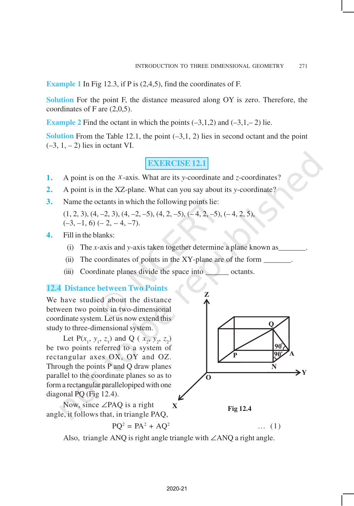**Example 1** In Fig 12.3, if P is  $(2,4,5)$ , find the coordinates of F.

**Solution** For the point F, the distance measured along OY is zero. Therefore, the coordinates of F are (2,0,5).

**Example 2** Find the octant in which the points  $(-3,1,2)$  and  $(-3,1,-2)$  lie.

**Solution** From the Table 12.1, the point  $(-3,1, 2)$  lies in second octant and the point  $(-3, 1, -2)$  lies in octant VI.

## **EXERCISE 12.1**

- **1.** A point is on the *x*-axis. What are its *y*-coordinate and *z*-coordinates?
- **2.** A point is in the XZ-plane. What can you say about its *y*-coordinate?
- **3.** Name the octants in which the following points lie:

 $(1, 2, 3), (4, -2, 3), (4, -2, -5), (4, 2, -5), (-4, 2, -5), (-4, 2, 5)$  $(-3, -1, 6)$   $(-2, -4, -7)$ .

- **4.** Fill in the blanks:
	- (i) The *x*-axis and *y*-axis taken together determine a plane known as\_\_\_\_\_\_\_.
	- (ii) The coordinates of points in the XY-plane are of the form \_\_\_\_\_\_\_.
	- (iii) Coordinate planes divide the space into coctants.

## **12.4 Distance between Two Points**

We have studied about the distance between two points in two-dimensional coordinate system. Let us now extend this study to three-dimensional system.

Let  $P(x_1, y_1, z_1)$  and Q ( $x_2, y_2, z_2$ ) be two points referred to a system of rectangular axes OX, OY and OZ. Through the points P and Q draw planes parallel to the coordinate planes so as to form a rectangular parallelopiped with one diagonal PQ (Fig 12.4).

Now, since ∠PAQ is a right



angle, it follows that, in triangle PAQ,  $PQ^2 = PA^2 + AQ^2$ 

... (1)

Also, triangle ANQ is right angle triangle with ∠ANQ a right angle.

 $\mathbf X$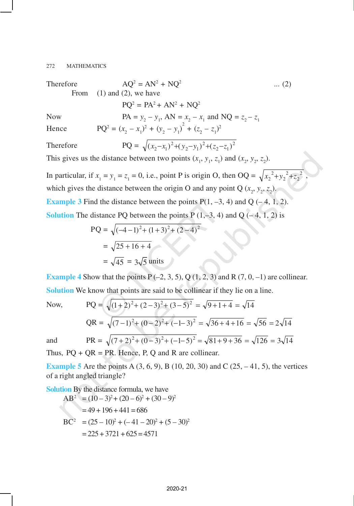Therefore  $AQ^2 = AN^2 + NO^2$ ... (2) From  $(1)$  and  $(2)$ , we have  $PQ^2 = PA^2 + AN^2 + NQ^2$ Now  $PA = y_2 - y_1$ ,  $AN = x_2 - x_1$  and  $NQ = z_2 - z_1$ Hence  $=(x_2 - x_1)^2 + (y_2 - y_1)^2 + (z_2 - z_1)^2$ Therefore  $PQ = \sqrt{(x_2 - x_1)^2 + (y_2 - y_1)^2 + (z_2 - z_1)^2}$ This gives us the distance between two points  $(x_1, y_1, z_1)$  and  $(x_2, y_2, z_2)$ .

In particular, if  $x_1 = y_1 = z_1 = 0$ , i.e., point P is origin O, then OQ =  $\sqrt{x_2^2 + y_2^2 + z_2^2}$ 2 2  ${x_2}^2+{y_2}^2+{z_2}^2$ , which gives the distance between the origin O and any point Q  $(x_2, y_2, z_2)$ . **Example 3** Find the distance between the points  $P(1, -3, 4)$  and  $Q(-4, 1, 2)$ . **Solution** The distance PQ between the points P  $(1, -3, 4)$  and Q  $(-4, 1, 2)$  is

$$
PQ = \sqrt{(-4-1)^2 + (1+3)^2 + (2-4)^2}
$$
  
=  $\sqrt{25+16+4}$   
=  $\sqrt{45} = 3\sqrt{5}$  units

**Example 4** Show that the points  $P(-2, 3, 5)$ ,  $Q(1, 2, 3)$  and  $R(7, 0, -1)$  are collinear. **Solution** We know that points are said to be collinear if they lie on a line.

Now,  
\n
$$
PQ = \sqrt{(1+2)^2 + (2-3)^2 + (3-5)^2} = \sqrt{9+1+4} = \sqrt{14}
$$
\n
$$
QR = \sqrt{(7-1)^2 + (0-2)^2 + (-1-3)^2} = \sqrt{36+4+16} = \sqrt{56} = 2\sqrt{14}
$$
\nand  
\n
$$
PR = \sqrt{(7+2)^2 + (0-3)^2 + (-1-5)^2} = \sqrt{81+9+36} = \sqrt{126} = 3\sqrt{14}
$$

Thus,  $PQ + QR = PR$ . Hence, P, Q and R are collinear.

**Example 5** Are the points A  $(3, 6, 9)$ , B  $(10, 20, 30)$  and C  $(25, -41, 5)$ , the vertices of a right angled triangle?

**Solution** By the distance formula, we have

$$
AB2 = (10-3)2 + (20-6)2 + (30-9)2
$$
  
= 49 + 196 + 441 = 686  

$$
BC2 = (25-10)2 + (-41-20)2 + (5-30)2
$$
  
= 225 + 3721 + 625 = 4571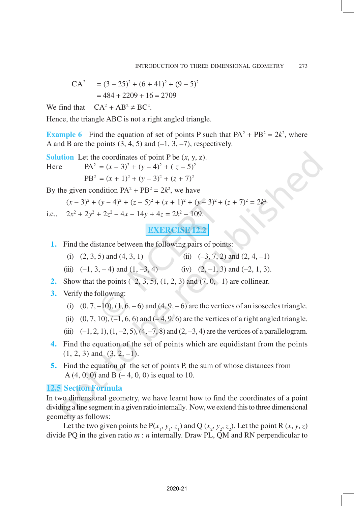$$
CA2 = (3-25)2 + (6+41)2 + (9-5)2
$$
  
= 484 + 2209 + 16 = 2709

We find that  $CA^2 + AB^2 \ne BC^2$ .

Hence, the triangle ABC is not a right angled triangle.

**Example 6** Find the equation of set of points P such that  $PA^2 + PB^2 = 2k^2$ , where A and B are the points  $(3, 4, 5)$  and  $(-1, 3, -7)$ , respectively.

**Solution** Let the coordinates of point P be  $(x, y, z)$ . Here  $PA^{2} = (x - 3)^{2} + (y - 4)^{2} + (z - 5)^{2}$  $PB^{2} = (x + 1)^{2} + (y - 3)^{2} + (z + 7)^{2}$ 

By the given condition  $PA^2 + PB^2 = 2k^2$ , we have

$$
(x-3)2 + (y-4)2 + (z-5)2 + (x+1)2 + (y-3)2 + (z+7)2 = 2k2
$$

i.e.,  $2x^2 + 2y^2 + 2z^2 - 4x - 14y + 4z = 2k^2 - 109$ .

**EXERCISE 12.2**

- **1.** Find the distance between the following pairs of points:
	- (i)  $(2, 3, 5)$  and  $(4, 3, 1)$  (ii)  $(-3, 7, 2)$  and  $(2, 4, -1)$
	- (iii)  $(-1, 3, -4)$  and  $(1, -3, 4)$  (iv)  $(2, -1, 3)$  and  $(-2, 1, 3)$ .
- **2.** Show that the points  $(-2, 3, 5)$ ,  $(1, 2, 3)$  and  $(7, 0, -1)$  are collinear.
- **3.** Verify the following:
	- (i)  $(0, 7, -10)$ ,  $(1, 6, -6)$  and  $(4, 9, -6)$  are the vertices of an isosceles triangle.
	- (ii)  $(0, 7, 10)$ ,  $(-1, 6, 6)$  and  $(-4, 9, 6)$  are the vertices of a right angled triangle.
	- (iii)  $(-1, 2, 1), (1, -2, 5), (4, -7, 8)$  and  $(2, -3, 4)$  are the vertices of a parallelogram.
- **4.** Find the equation of the set of points which are equidistant from the points  $(1, 2, 3)$  and  $(3, 2, -1)$ .
- **5.** Find the equation of the set of points P, the sum of whose distances from A  $(4, 0, 0)$  and B  $(-4, 0, 0)$  is equal to 10.

#### **12.5 Section Formula**

In two dimensional geometry, we have learnt how to find the coordinates of a point dividing a line segment in a given ratio internally. Now, we extend this to three dimensional geometry as follows:

Let the two given points be  $P(x_1, y_1, z_1)$  and Q  $(x_2, y_2, z_2)$ . Let the point R  $(x, y, z)$ divide PQ in the given ratio *m* : *n* internally. Draw PL, QM and RN perpendicular to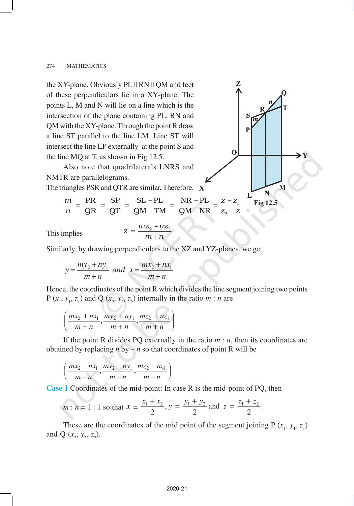the XY-plane. Obviously PL || RN || QM and feet of these perpendiculars lie in a XY-plane. The points L, M and N will lie on a line which is the intersection of the plane containing PL, RN and QM with the XY-plane. Through the point R draw a line ST parallel to the line LM. Line ST will intersect the line LP externally at the point S and the line MQ at T, as shown in Fig 12.5.

Also note that quadrilaterals LNRS and NMTR are parallelograms.

The triangles PSR and QTR are similar. Therefore, X

$$
\frac{m}{n} = \frac{\text{PR}}{\text{QR}} = \frac{\text{SP}}{\text{QT}} = \frac{\text{SL} - \text{PL}}{\text{QM} - \text{TM}} = \frac{\text{NR} - \text{PL}}{\text{QM} - \text{NR}} = \frac{z - z_1}{z_2 - z_1}
$$

This implies

$$
z = \frac{m z_2 + n z_1}{m + n}
$$

Similarly, by drawing perpendiculars to the XZ and YZ-planes, we get

$$
y = \frac{my_2 + ny_1}{m+n}
$$
 and  $x = \frac{mx_2 + nx_1}{m+n}$ 

Hence, the coordinates of the point R which divides the line segment joining two points  $P(x_1, y_1, z_1)$  and  $Q(x_2, y_2, z_2)$  internally in the ratio  $m : n$  are

 $-PL$  NR  $-PL$  z –  $-$  TM  $\overline{QM - NR}$   $\overline{z_{0}}$   $-$ 

1

 $\Omega$ 

Z

**Fig 12.5**

N

M

2

$$
\left(\frac{mx_2 + nx_1}{m+n}, \frac{my_2 + ny_1}{m+n}, \frac{mz_2 + nz_1}{m+n}\right)
$$

If the point R divides PQ externally in the ratio *m* : *n*, then its coordinates are obtained by replacing  $n$  by  $-n$  so that coordinates of point R will be

$$
\left(\frac{mx_2 - nx_1}{m-n}, \frac{my_2 - ny_1}{m-n}, \frac{mz_2 - nz_1}{m-n}\right)
$$

**Case 1** Coordinates of the mid-point: In case R is the mid-point of PQ, then

$$
m : n = 1 : 1
$$
 so that  $x = \frac{x_1 + x_2}{2}$ ,  $y = \frac{y_1 + y_2}{2}$  and  $z = \frac{z_1 + z_2}{2}$ .

These are the coordinates of the mid point of the segment joining  $P(x_1, y_1, z_1)$ and Q  $(x_2, y_2, z_2)$ .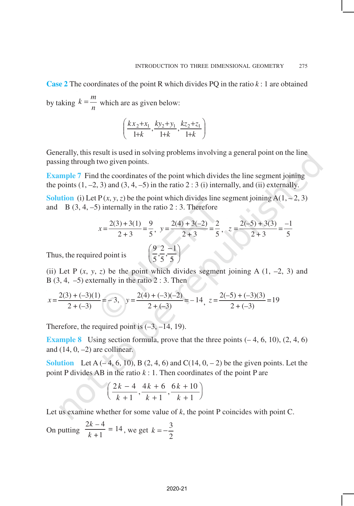**Case 2** The coordinates of the point R which divides PQ in the ratio *k* : 1 are obtained by taking  $k = \frac{m}{n}$  $=\frac{m}{n}$  which are as given below:

$$
\left(\frac{kx_2 + x_1}{1 + k}, \frac{ky_2 + y_1}{1 + k}, \frac{kz_2 + z_1}{1 + k}\right)
$$

Generally, this result is used in solving problems involving a general point on the line passing through two given points.

**Example 7** Find the coordinates of the point which divides the line segment joining the points  $(1, -2, 3)$  and  $(3, 4, -5)$  in the ratio  $2 : 3$  (i) internally, and (ii) externally.

**Solution** (i) Let  $P(x, y, z)$  be the point which divides line segment joining  $A(1, -2, 3)$ and B  $(3, 4, -5)$  internally in the ratio 2 : 3. Therefore

$$
x = \frac{2(3) + 3(1)}{2 + 3} = \frac{9}{5}, \ y = \frac{2(4) + 3(-2)}{2 + 3} = \frac{2}{5}, \ z = \frac{2(-5) + 3(3)}{2 + 3} = \frac{-1}{5}
$$
  
ed point is 
$$
\left(\frac{9}{7}, \frac{2}{7}, \frac{-1}{7}\right)
$$

Thus, the required point is

(ii) Let P  $(x, y, z)$  be the point which divides segment joining A  $(1, -2, 3)$  and B  $(3, 4, -5)$  externally in the ratio  $2:3$ . Then

J

$$
x = \frac{2(3) + (-3)(1)}{2 + (-3)} = -3, \quad y = \frac{2(4) + (-3)(-2)}{2 + (-3)} = -14, \quad z = \frac{2(-5) + (-3)(3)}{2 + (-3)} = 19
$$

 $(5'5'5)$ 

5

5

Therefore, the required point is  $(-3, -14, 19)$ .

**Example 8** Using section formula, prove that the three points  $(-4, 6, 10)$ ,  $(2, 4, 6)$ and  $(14, 0, -2)$  are collinear.

**Solution** Let A  $(-4, 6, 10)$ , B  $(2, 4, 6)$  and C $(14, 0, -2)$  be the given points. Let the point P divides AB in the ratio  $k:1$ . Then coordinates of the point P are

$$
\left(\frac{2k-4}{k+1}, \frac{4k+6}{k+1}, \frac{6k+10}{k+1}\right)
$$

Let us examine whether for some value of *k*, the point P coincides with point C.

On putting  $\frac{2k-4}{1+1} = 14$ + 1 *k*  $\frac{k-4}{k+1}$  = 14, we get  $k = -\frac{3}{2}$ 2  $k = -$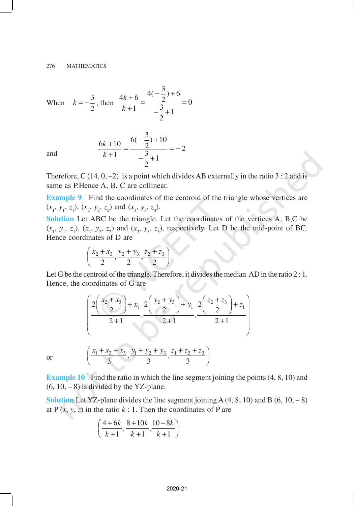When 
$$
k = -\frac{3}{2}
$$
, then  $\frac{4k+6}{k+1} = \frac{4(-\frac{3}{2})+6}{-\frac{3}{2}+1} = 0$ 

$$
\frac{6k+10}{k+1} = \frac{6(-\frac{3}{2})+10}{-\frac{3}{2}+1} = -2
$$

and

Therefore,  $C(14, 0, -2)$  is a point which divides AB externally in the ratio 3 : 2 and is same as P.Hence A, B, C are collinear.

**Example 9** Find the coordinates of the centroid of the triangle whose vertices are  $(x_1, y_1, z_1), (x_2, y_2, z_2)$  and  $(x_3, y_3, z_3)$ .

**Solution** Let ABC be the triangle. Let the coordinates of the vertices A, B,C be  $(x_1, y_1, z_1)$ ,  $(x_2, y_2, z_2)$  and  $(x_3, y_3, z_3)$ , respectively. Let D be the mid-point of BC. Hence coordinates of D are

$$
\left(\frac{x_2 + x_3}{2}, \frac{y_2 + y_3}{2}, \frac{z_2 + z_3}{2}\right)
$$

Let G be the centroid of the triangle. Therefore, it divides the median AD in the ratio 2 : 1. Hence, the coordinates of G are

$$
\left(\frac{2\left(\frac{x_2 + x_3}{2}\right) + x_1}{2 + 1}, \frac{2\left(\frac{y_2 + y_3}{2}\right) + y_1}{2 + 1}, \frac{2\left(\frac{z_2 + z_3}{2}\right) + z_1}{2 + 1}\right)
$$
\n
$$
\left(\frac{x_1 + x_2 + x_3}{3}, \frac{y_1 + y_2 + y_3}{3}, \frac{z_1 + z_2 + z_3}{3}\right)
$$

or

**Example 10** Find the ratio in which the line segment joining the points (4, 8, 10) and  $(6, 10, -8)$  is divided by the YZ-plane.

**Solution** Let YZ-plane divides the line segment joining  $A(4, 8, 10)$  and  $B(6, 10, -8)$ at  $P(x, y, z)$  in the ratio  $k: 1$ . Then the coordinates of P are

$$
\left(\frac{4+6k}{k+1}, \frac{8+10k}{k+1}, \frac{10-8k}{k+1}\right)
$$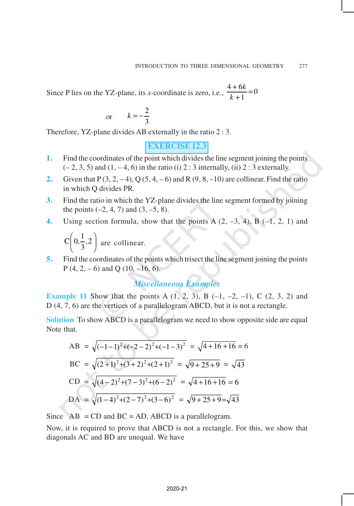Since P lies on the YZ-plane, its *x*-coordinate is zero, i.e.,  $\frac{4+6k}{k+1} = 0$ + 1 *k k*

or 
$$
k = -\frac{2}{3}
$$

Therefore, YZ-plane divides AB externally in the ratio 2 : 3.

**EXERCISE 12.3**

- **1.** Find the coordinates of the point which divides the line segment joining the points  $(-2, 3, 5)$  and  $(1, -4, 6)$  in the ratio (i) 2 : 3 internally, (ii) 2 : 3 externally.
- **2.** Given that  $P(3, 2, -4)$ ,  $Q(5, 4, -6)$  and  $R(9, 8, -10)$  are collinear. Find the ratio in which Q divides PR.
- **3.** Find the ratio in which the YZ-plane divides the line segment formed by joining the points  $(-2, 4, 7)$  and  $(3, -5, 8)$ .
- **4.** Using section formula, show that the points A  $(2, -3, 4)$ , B  $(-1, 2, 1)$  and

$$
C\left(0,\frac{1}{3},2\right)
$$
 are collinear.

**5.** Find the coordinates of the points which trisect the line segment joining the points  $P(4, 2, -6)$  and Q (10, -16, 6).

## *Miscellaneous Examples*

**Example 11** Show that the points A  $(1, 2, 3)$ , B  $(-1, -2, -1)$ , C  $(2, 3, 2)$  and D (4, 7, 6) are the vertices of a parallelogram ABCD, but it is not a rectangle.

**Solution** To show ABCD is a parallelogram we need to show opposite side are equal Note that.

AB = 
$$
\sqrt{(-1-1)^2 + (-2-2)^2 + (-1-3)^2} = \sqrt{4+16+16} = 6
$$
  
BC =  $\sqrt{(2+1)^2 + (3+2)^2 + (2+1)^2} = \sqrt{9+25+9} = \sqrt{43}$   
CD =  $\sqrt{(4-2)^2 + (7-3)^2 + (6-2)^2} = \sqrt{4+16+16} = 6$   
DA =  $\sqrt{(1-4)^2 + (2-7)^2 + (3-6)^2} = \sqrt{9+25+9} = \sqrt{43}$ 

Since  $AB = CD$  and  $BC = AD$ , ABCD is a parallelogram.

Now, it is required to prove that ABCD is not a rectangle. For this, we show that diagonals AC and BD are unequal. We have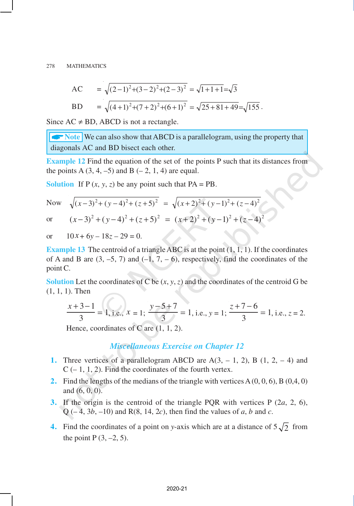$$
\text{AC} = \sqrt{(2-1)^2 + (3-2)^2 + (2-3)^2} = \sqrt{1+1+1} = \sqrt{3}
$$
\n
$$
\text{BD} = \sqrt{(4+1)^2 + (7+2)^2 + (6+1)^2} = \sqrt{25+81+49} = \sqrt{155}.
$$

Since  $AC \neq BD$ , ABCD is not a rectangle.

**ANOTE WE CALL THE WE CAN ARROW IN A REPORT IS A parallelogram, using the property that** diagonals AC and BD bisect each other.

**Example 12** Find the equation of the set of the points P such that its distances from the points A  $(3, 4, -5)$  and B  $(-2, 1, 4)$  are equal.

**Solution** If  $P(x, y, z)$  be any point such that  $PA = PB$ .

Now 
$$
\sqrt{(x-3)^2 + (y-4)^2 + (z+5)^2} = \sqrt{(x+2)^2 + (y-1)^2 + (z-4)^2}
$$

or 
$$
(x-3)^2 + (y-4)^2 + (z+5)^2 = (x+2)^2 + (y-1)^2 + (z-4)^2
$$

or 
$$
10x + 6y - 18z - 29 = 0.
$$

**Example 13** The centroid of a triangle ABC is at the point  $(1, 1, 1)$ . If the coordinates of A and B are  $(3, -5, 7)$  and  $(-1, 7, -6)$ , respectively, find the coordinates of the point C.

**Solution** Let the coordinates of C be  $(x, y, z)$  and the coordinates of the centroid G be (1, 1, 1). Then

$$
\frac{x+3-1}{3} = 1, \text{ i.e., } x = 1; \frac{y-5+7}{3} = 1, \text{ i.e., } y = 1; \frac{z+7-6}{3} = 1, \text{ i.e., } z = 2.
$$

Hence, coordinates of C are  $(1, 1, 2)$ .

## *Miscellaneous Exercise on Chapter 12*

- **1.** Three vertices of a parallelogram ABCD are  $A(3, -1, 2)$ , B  $(1, 2, -4)$  and  $C$  (-1, 1, 2). Find the coordinates of the fourth vertex.
- **2.** Find the lengths of the medians of the triangle with vertices A (0, 0, 6), B (0,4, 0) and (6, 0, 0).
- **3.** If the origin is the centroid of the triangle PQR with vertices P (2*a*, 2, 6),  $Q(-4, 3b, -10)$  and  $R(8, 14, 2c)$ , then find the values of *a*, *b* and *c*.
- **4.** Find the coordinates of a point on *y*-axis which are at a distance of  $5\sqrt{2}$  from the point  $P(3, -2, 5)$ .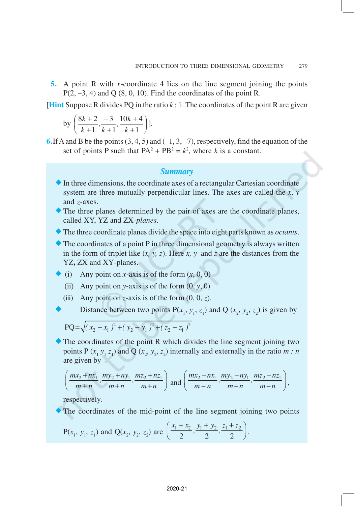**5.** A point R with *x*-coordinate 4 lies on the line segment joining the points  $P(2, -3, 4)$  and Q  $(8, 0, 10)$ . Find the coordinates of the point R.

[**Hint** Suppose R divides PQ in the ratio *k* : 1. The coordinates of the point R are given

by 
$$
\left(\frac{8k+2}{k+1}, \frac{-3}{k+1}, \frac{10k+4}{k+1}\right)
$$
].

**6.** If A and B be the points  $(3, 4, 5)$  and  $(-1, 3, -7)$ , respectively, find the equation of the set of points P such that  $PA^2 + PB^2 = k^2$ , where *k* is a constant.

#### *Summary*

- $\bullet$  In three dimensions, the coordinate axes of a rectangular Cartesian coordinate system are three mutually perpendicular lines. The axes are called the *x*, *y* and *z*-axes.
- ®The three planes determined by the pair of axes are the coordinate planes, called XY, YZ and ZX-*planes*.
- ®The three coordinate planes divide the space into eight parts known as *octants*.
- $\blacklozenge$  The coordinates of a point P in three dimensional geometry is always written in the form of triplet like (*x, y, z*). Here *x, y* and *z* are the distances from the YZ**,** ZX and XY*-*planes.
- $\bullet$  (i) Any point on *x*-axis is of the form  $(x, 0, 0)$ 
	- (ii) Any point on *y*-axis is of the form  $(0, y, 0)$
	- (iii) Any point on *z*-axis is of the form  $(0, 0, z)$ .

• Distance between two points 
$$
P(x_1, y_1, z_1)
$$
 and  $Q(x_2, y_2, z_2)$  is given by

PQ=
$$
\sqrt{(x_2 - x_1)^2 + (y_2 - y_1)^2 + (z_2 - z_1)^2}
$$

 $\blacklozenge$  The coordinates of the point R which divides the line segment joining two points P  $(x_1, y_1, z_1)$  and Q  $(x_2, y_2, z_2)$  internally and externally in the ratio *m : n* are given by

$$
\left(\frac{mx_2+nx_1}{m+n}, \frac{my_2+ny_1}{m+n}, \frac{mz_2+nz_1}{m+n}\right) \text{ and } \left(\frac{mx_2-nx_1}{m-n}, \frac{my_2-ny_1}{m-n}, \frac{mz_2-nz_1}{m-n}\right),
$$

respectively.

®The coordinates of the mid-point of the line segment joining two points

$$
P(x_1, y_1, z_1)
$$
 and  $Q(x_2, y_2, z_2)$  are  $\left(\frac{x_1 + x_2}{2}, \frac{y_1 + y_2}{2}, \frac{z_1 + z_2}{2}\right)$ .